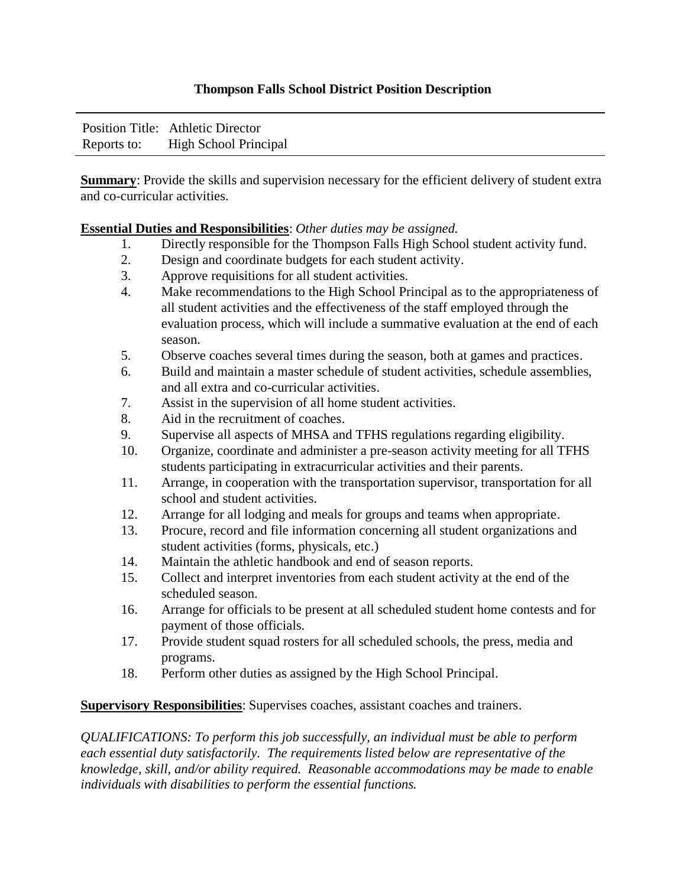## **Thompson Falls School District Position Description**

|             | Position Title: Athletic Director |
|-------------|-----------------------------------|
| Reports to: | High School Principal             |

**Summary**: Provide the skills and supervision necessary for the efficient delivery of student extra and co-curricular activities.

## **Essential Duties and Responsibilities**: *Other duties may be assigned.*

- 1. Directly responsible for the Thompson Falls High School student activity fund.
- 2. Design and coordinate budgets for each student activity.
- 3. Approve requisitions for all student activities.
- 4. Make recommendations to the High School Principal as to the appropriateness of all student activities and the effectiveness of the staff employed through the evaluation process, which will include a summative evaluation at the end of each season.
- 5. Observe coaches several times during the season, both at games and practices.
- 6. Build and maintain a master schedule of student activities, schedule assemblies, and all extra and co-curricular activities.
- 7. Assist in the supervision of all home student activities.
- 8. Aid in the recruitment of coaches.
- 9. Supervise all aspects of MHSA and TFHS regulations regarding eligibility.
- 10. Organize, coordinate and administer a pre-season activity meeting for all TFHS students participating in extracurricular activities and their parents.
- 11. Arrange, in cooperation with the transportation supervisor, transportation for all school and student activities.
- 12. Arrange for all lodging and meals for groups and teams when appropriate.
- 13. Procure, record and file information concerning all student organizations and student activities (forms, physicals, etc.)
- 14. Maintain the athletic handbook and end of season reports.
- 15. Collect and interpret inventories from each student activity at the end of the scheduled season.
- 16. Arrange for officials to be present at all scheduled student home contests and for payment of those officials.
- 17. Provide student squad rosters for all scheduled schools, the press, media and programs.
- 18. Perform other duties as assigned by the High School Principal.

## **Supervisory Responsibilities**: Supervises coaches, assistant coaches and trainers.

*QUALIFICATIONS: To perform this job successfully, an individual must be able to perform each essential duty satisfactorily. The requirements listed below are representative of the knowledge, skill, and/or ability required. Reasonable accommodations may be made to enable individuals with disabilities to perform the essential functions.*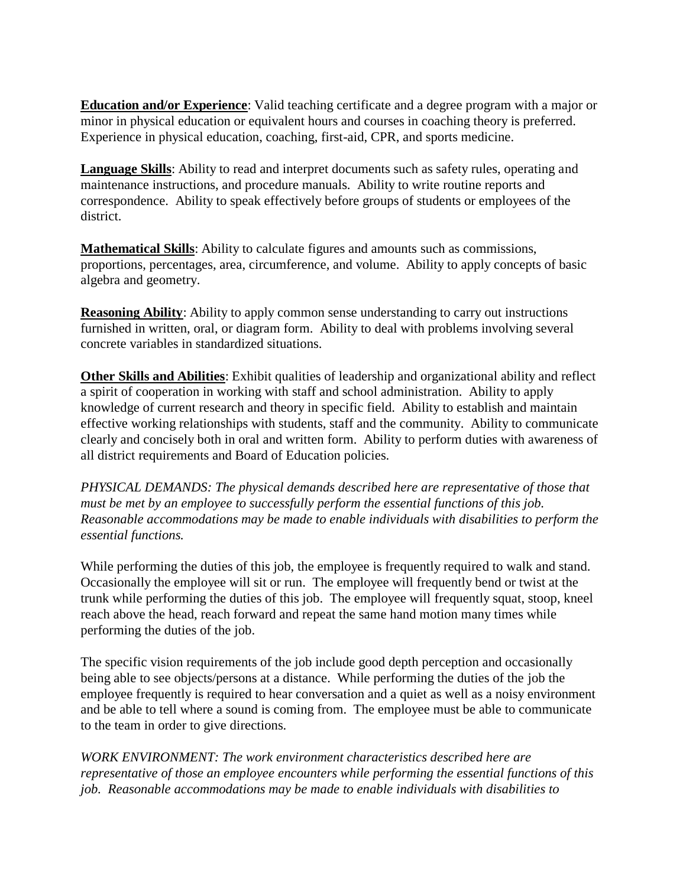**Education and/or Experience**: Valid teaching certificate and a degree program with a major or minor in physical education or equivalent hours and courses in coaching theory is preferred. Experience in physical education, coaching, first-aid, CPR, and sports medicine.

**Language Skills**: Ability to read and interpret documents such as safety rules, operating and maintenance instructions, and procedure manuals. Ability to write routine reports and correspondence. Ability to speak effectively before groups of students or employees of the district.

**Mathematical Skills**: Ability to calculate figures and amounts such as commissions, proportions, percentages, area, circumference, and volume. Ability to apply concepts of basic algebra and geometry.

**Reasoning Ability**: Ability to apply common sense understanding to carry out instructions furnished in written, oral, or diagram form. Ability to deal with problems involving several concrete variables in standardized situations.

**Other Skills and Abilities**: Exhibit qualities of leadership and organizational ability and reflect a spirit of cooperation in working with staff and school administration. Ability to apply knowledge of current research and theory in specific field. Ability to establish and maintain effective working relationships with students, staff and the community. Ability to communicate clearly and concisely both in oral and written form. Ability to perform duties with awareness of all district requirements and Board of Education policies.

*PHYSICAL DEMANDS: The physical demands described here are representative of those that must be met by an employee to successfully perform the essential functions of this job. Reasonable accommodations may be made to enable individuals with disabilities to perform the essential functions.*

While performing the duties of this job, the employee is frequently required to walk and stand. Occasionally the employee will sit or run. The employee will frequently bend or twist at the trunk while performing the duties of this job. The employee will frequently squat, stoop, kneel reach above the head, reach forward and repeat the same hand motion many times while performing the duties of the job.

The specific vision requirements of the job include good depth perception and occasionally being able to see objects/persons at a distance. While performing the duties of the job the employee frequently is required to hear conversation and a quiet as well as a noisy environment and be able to tell where a sound is coming from. The employee must be able to communicate to the team in order to give directions.

*WORK ENVIRONMENT: The work environment characteristics described here are representative of those an employee encounters while performing the essential functions of this job. Reasonable accommodations may be made to enable individuals with disabilities to*